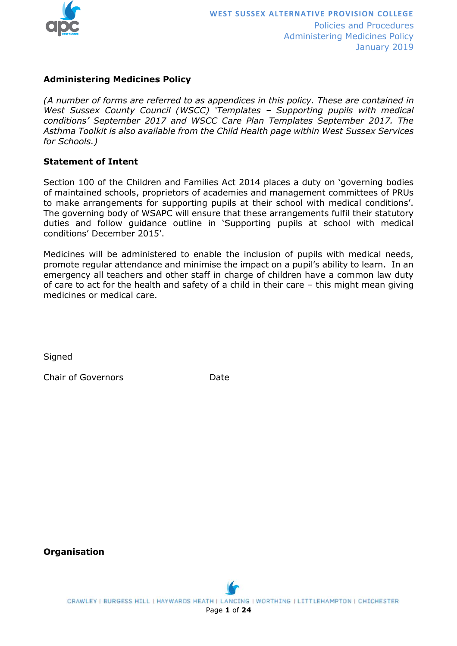

#### **Administering Medicines Policy**

*(A number of forms are referred to as appendices in this policy. These are contained in West Sussex County Council (WSCC) 'Templates – Supporting pupils with medical conditions' September 2017 and WSCC Care Plan Templates September 2017. The Asthma Toolkit is also available from the Child Health page within West Sussex Services for Schools.)*

#### **Statement of Intent**

Section 100 of the Children and Families Act 2014 places a duty on 'governing bodies of maintained schools, proprietors of academies and management committees of PRUs to make arrangements for supporting pupils at their school with medical conditions'. The governing body of WSAPC will ensure that these arrangements fulfil their statutory duties and follow guidance outline in 'Supporting pupils at school with medical conditions' December 2015'.

Medicines will be administered to enable the inclusion of pupils with medical needs, promote regular attendance and minimise the impact on a pupil's ability to learn. In an emergency all teachers and other staff in charge of children have a common law duty of care to act for the health and safety of a child in their care – this might mean giving medicines or medical care.

**Signed** 

Chair of Governors Date

**Organisation**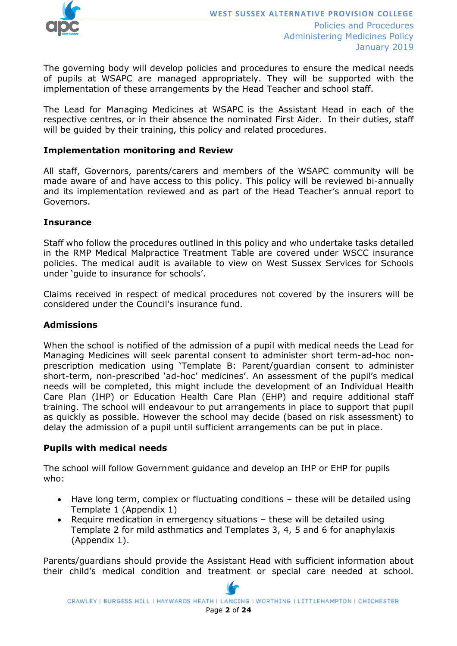

The governing body will develop policies and procedures to ensure the medical needs of pupils at WSAPC are managed appropriately. They will be supported with the implementation of these arrangements by the Head Teacher and school staff.

The Lead for Managing Medicines at WSAPC is the Assistant Head in each of the respective centres, or in their absence the nominated First Aider. In their duties, staff will be guided by their training, this policy and related procedures.

#### **Implementation monitoring and Review**

All staff, Governors, parents/carers and members of the WSAPC community will be made aware of and have access to this policy. This policy will be reviewed bi-annually and its implementation reviewed and as part of the Head Teacher's annual report to Governors.

#### **Insurance**

Staff who follow the procedures outlined in this policy and who undertake tasks detailed in the RMP Medical Malpractice Treatment Table are covered under WSCC insurance policies. The medical audit is available to view on West Sussex Services for Schools under 'guide to insurance for schools'.

Claims received in respect of medical procedures not covered by the insurers will be considered under the Council's insurance fund.

#### **Admissions**

When the school is notified of the admission of a pupil with medical needs the Lead for Managing Medicines will seek parental consent to administer short term-ad-hoc nonprescription medication using 'Template B: Parent/guardian consent to administer short-term, non-prescribed 'ad-hoc' medicines'. An assessment of the pupil's medical needs will be completed, this might include the development of an Individual Health Care Plan (IHP) or Education Health Care Plan (EHP) and require additional staff training. The school will endeavour to put arrangements in place to support that pupil as quickly as possible. However the school may decide (based on risk assessment) to delay the admission of a pupil until sufficient arrangements can be put in place.

#### **Pupils with medical needs**

The school will follow Government guidance and develop an IHP or EHP for pupils who:

- Have long term, complex or fluctuating conditions these will be detailed using Template 1 (Appendix 1)
- Require medication in emergency situations these will be detailed using Template 2 for mild asthmatics and Templates 3, 4, 5 and 6 for anaphylaxis (Appendix 1).

Parents/guardians should provide the Assistant Head with sufficient information about their child's medical condition and treatment or special care needed at school.

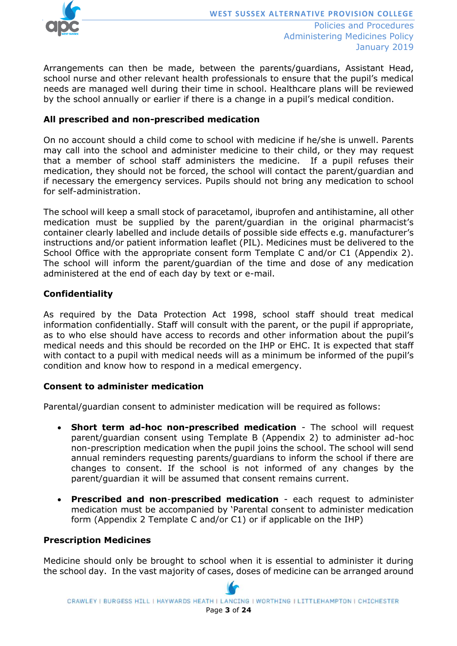

Arrangements can then be made, between the parents/guardians, Assistant Head, school nurse and other relevant health professionals to ensure that the pupil's medical needs are managed well during their time in school. Healthcare plans will be reviewed by the school annually or earlier if there is a change in a pupil's medical condition.

#### **All prescribed and non-prescribed medication**

On no account should a child come to school with medicine if he/she is unwell. Parents may call into the school and administer medicine to their child, or they may request that a member of school staff administers the medicine. If a pupil refuses their medication, they should not be forced, the school will contact the parent/guardian and if necessary the emergency services. Pupils should not bring any medication to school for self-administration.

The school will keep a small stock of paracetamol, ibuprofen and antihistamine, all other medication must be supplied by the parent/guardian in the original pharmacist's container clearly labelled and include details of possible side effects e.g. manufacturer's instructions and/or patient information leaflet (PIL). Medicines must be delivered to the School Office with the appropriate consent form Template C and/or C1 (Appendix 2). The school will inform the parent/guardian of the time and dose of any medication administered at the end of each day by text or e-mail.

#### **Confidentiality**

As required by the Data Protection Act 1998, school staff should treat medical information confidentially. Staff will consult with the parent, or the pupil if appropriate, as to who else should have access to records and other information about the pupil's medical needs and this should be recorded on the IHP or EHC. It is expected that staff with contact to a pupil with medical needs will as a minimum be informed of the pupil's condition and know how to respond in a medical emergency.

#### **Consent to administer medication**

Parental/guardian consent to administer medication will be required as follows:

- **Short term ad-hoc non-prescribed medication** The school will request parent/guardian consent using Template B (Appendix 2) to administer ad-hoc non-prescription medication when the pupil joins the school. The school will send annual reminders requesting parents/guardians to inform the school if there are changes to consent. If the school is not informed of any changes by the parent/guardian it will be assumed that consent remains current.
- **Prescribed and non**-**prescribed medication** each request to administer medication must be accompanied by 'Parental consent to administer medication form (Appendix 2 Template C and/or C1) or if applicable on the IHP)

#### **Prescription Medicines**

Medicine should only be brought to school when it is essential to administer it during the school day. In the vast majority of cases, doses of medicine can be arranged around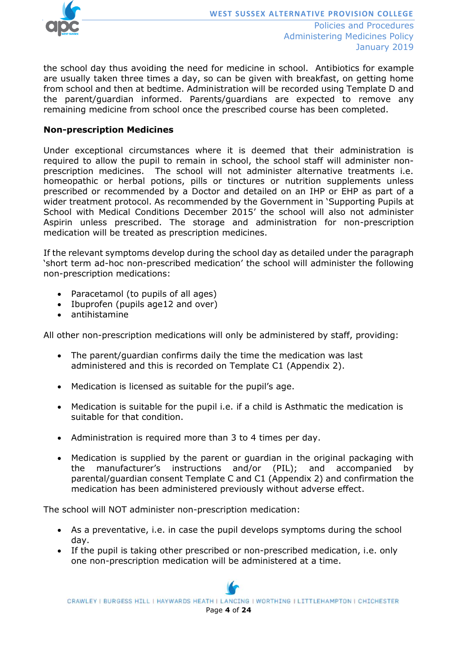

the school day thus avoiding the need for medicine in school. Antibiotics for example are usually taken three times a day, so can be given with breakfast, on getting home from school and then at bedtime. Administration will be recorded using Template D and the parent/guardian informed. Parents/guardians are expected to remove any remaining medicine from school once the prescribed course has been completed.

#### **Non-prescription Medicines**

Under exceptional circumstances where it is deemed that their administration is required to allow the pupil to remain in school, the school staff will administer nonprescription medicines. The school will not administer alternative treatments i.e. homeopathic or herbal potions, pills or tinctures or nutrition supplements unless prescribed or recommended by a Doctor and detailed on an IHP or EHP as part of a wider treatment protocol. As recommended by the Government in 'Supporting Pupils at School with Medical Conditions December 2015' the school will also not administer Aspirin unless prescribed. The storage and administration for non-prescription medication will be treated as prescription medicines.

If the relevant symptoms develop during the school day as detailed under the paragraph 'short term ad-hoc non-prescribed medication' the school will administer the following non-prescription medications:

- Paracetamol (to pupils of all ages)
- Ibuprofen (pupils age12 and over)
- antihistamine

All other non-prescription medications will only be administered by staff, providing:

- The parent/guardian confirms daily the time the medication was last administered and this is recorded on Template C1 (Appendix 2).
- Medication is licensed as suitable for the pupil's age.
- Medication is suitable for the pupil i.e. if a child is Asthmatic the medication is suitable for that condition.
- Administration is required more than 3 to 4 times per day.
- Medication is supplied by the parent or guardian in the original packaging with the manufacturer's instructions and/or (PIL); and accompanied by parental/guardian consent Template C and C1 (Appendix 2) and confirmation the medication has been administered previously without adverse effect.

The school will NOT administer non-prescription medication:

- As a preventative, i.e. in case the pupil develops symptoms during the school day.
- If the pupil is taking other prescribed or non-prescribed medication, i.e. only one non-prescription medication will be administered at a time.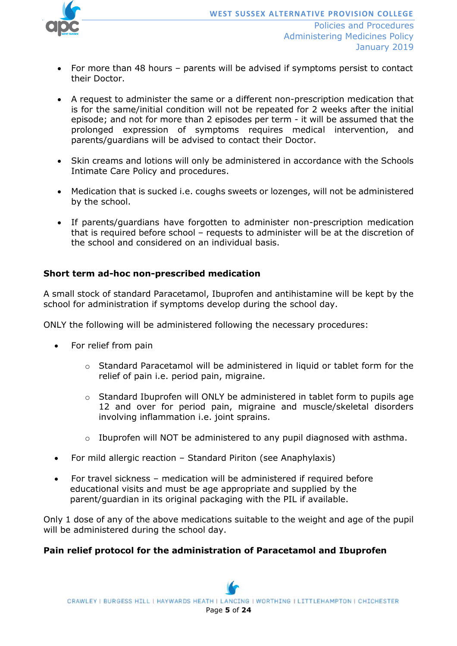

- For more than 48 hours parents will be advised if symptoms persist to contact their Doctor.
- A request to administer the same or a different non-prescription medication that is for the same/initial condition will not be repeated for 2 weeks after the initial episode; and not for more than 2 episodes per term - it will be assumed that the prolonged expression of symptoms requires medical intervention, and parents/guardians will be advised to contact their Doctor.
- Skin creams and lotions will only be administered in accordance with the Schools Intimate Care Policy and procedures.
- Medication that is sucked i.e. coughs sweets or lozenges, will not be administered by the school.
- If parents/guardians have forgotten to administer non-prescription medication that is required before school – requests to administer will be at the discretion of the school and considered on an individual basis.

#### **Short term ad-hoc non-prescribed medication**

A small stock of standard Paracetamol, Ibuprofen and antihistamine will be kept by the school for administration if symptoms develop during the school day.

ONLY the following will be administered following the necessary procedures:

- For relief from pain
	- $\circ$  Standard Paracetamol will be administered in liquid or tablet form for the relief of pain i.e. period pain, migraine.
	- o Standard Ibuprofen will ONLY be administered in tablet form to pupils age 12 and over for period pain, migraine and muscle/skeletal disorders involving inflammation i.e. joint sprains.
	- o Ibuprofen will NOT be administered to any pupil diagnosed with asthma.
- For mild allergic reaction Standard Piriton (see Anaphylaxis)
- For travel sickness medication will be administered if required before educational visits and must be age appropriate and supplied by the parent/guardian in its original packaging with the PIL if available.

Only 1 dose of any of the above medications suitable to the weight and age of the pupil will be administered during the school day.

#### **Pain relief protocol for the administration of Paracetamol and Ibuprofen**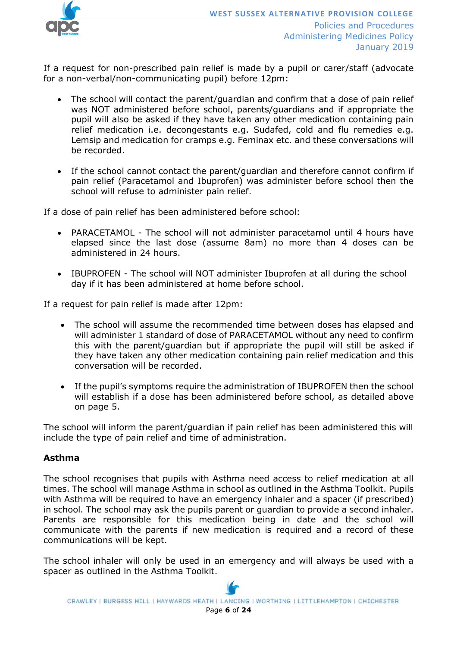

If a request for non-prescribed pain relief is made by a pupil or carer/staff (advocate for a non-verbal/non-communicating pupil) before 12pm:

- The school will contact the parent/guardian and confirm that a dose of pain relief was NOT administered before school, parents/guardians and if appropriate the pupil will also be asked if they have taken any other medication containing pain relief medication i.e. decongestants e.g. Sudafed, cold and flu remedies e.g. Lemsip and medication for cramps e.g. Feminax etc. and these conversations will be recorded.
- If the school cannot contact the parent/guardian and therefore cannot confirm if pain relief (Paracetamol and Ibuprofen) was administer before school then the school will refuse to administer pain relief.

If a dose of pain relief has been administered before school:

- PARACETAMOL The school will not administer paracetamol until 4 hours have elapsed since the last dose (assume 8am) no more than 4 doses can be administered in 24 hours.
- IBUPROFEN The school will NOT administer Ibuprofen at all during the school day if it has been administered at home before school.

If a request for pain relief is made after 12pm:

- The school will assume the recommended time between doses has elapsed and will administer 1 standard of dose of PARACETAMOL without any need to confirm this with the parent/guardian but if appropriate the pupil will still be asked if they have taken any other medication containing pain relief medication and this conversation will be recorded.
- If the pupil's symptoms require the administration of IBUPROFEN then the school will establish if a dose has been administered before school, as detailed above on page 5.

The school will inform the parent/guardian if pain relief has been administered this will include the type of pain relief and time of administration.

#### **Asthma**

The school recognises that pupils with Asthma need access to relief medication at all times. The school will manage Asthma in school as outlined in the Asthma Toolkit. Pupils with Asthma will be required to have an emergency inhaler and a spacer (if prescribed) in school. The school may ask the pupils parent or guardian to provide a second inhaler. Parents are responsible for this medication being in date and the school will communicate with the parents if new medication is required and a record of these communications will be kept.

The school inhaler will only be used in an emergency and will always be used with a spacer as outlined in the Asthma Toolkit.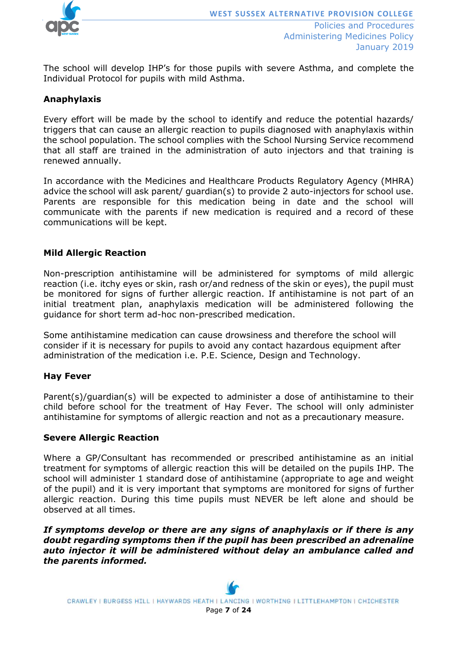

The school will develop IHP's for those pupils with severe Asthma, and complete the Individual Protocol for pupils with mild Asthma.

#### **Anaphylaxis**

Every effort will be made by the school to identify and reduce the potential hazards/ triggers that can cause an allergic reaction to pupils diagnosed with anaphylaxis within the school population. The school complies with the School Nursing Service recommend that all staff are trained in the administration of auto injectors and that training is renewed annually.

In accordance with the Medicines and Healthcare Products Regulatory Agency (MHRA) advice the school will ask parent/ guardian(s) to provide 2 auto-injectors for school use. Parents are responsible for this medication being in date and the school will communicate with the parents if new medication is required and a record of these communications will be kept.

#### **Mild Allergic Reaction**

Non-prescription antihistamine will be administered for symptoms of mild allergic reaction (i.e. itchy eyes or skin, rash or/and redness of the skin or eyes), the pupil must be monitored for signs of further allergic reaction. If antihistamine is not part of an initial treatment plan, anaphylaxis medication will be administered following the guidance for short term ad-hoc non-prescribed medication.

Some antihistamine medication can cause drowsiness and therefore the school will consider if it is necessary for pupils to avoid any contact hazardous equipment after administration of the medication i.e. P.E. Science, Design and Technology.

#### **Hay Fever**

Parent(s)/guardian(s) will be expected to administer a dose of antihistamine to their child before school for the treatment of Hay Fever. The school will only administer antihistamine for symptoms of allergic reaction and not as a precautionary measure.

#### **Severe Allergic Reaction**

Where a GP/Consultant has recommended or prescribed antihistamine as an initial treatment for symptoms of allergic reaction this will be detailed on the pupils IHP. The school will administer 1 standard dose of antihistamine (appropriate to age and weight of the pupil) and it is very important that symptoms are monitored for signs of further allergic reaction. During this time pupils must NEVER be left alone and should be observed at all times.

*If symptoms develop or there are any signs of anaphylaxis or if there is any doubt regarding symptoms then if the pupil has been prescribed an adrenaline auto injector it will be administered without delay an ambulance called and the parents informed.*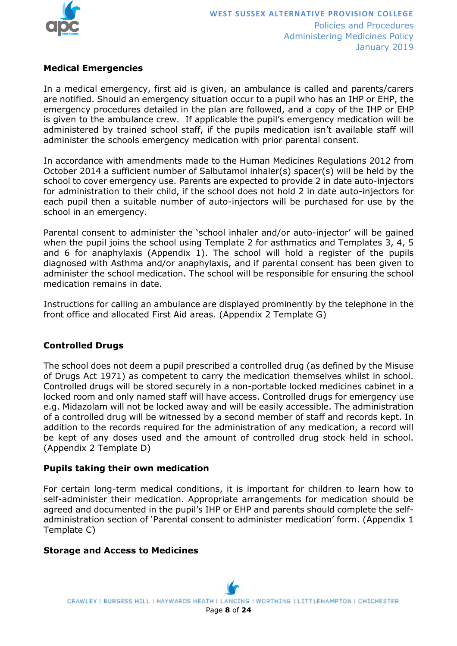

#### **Medical Emergencies**

In a medical emergency, first aid is given, an ambulance is called and parents/carers are notified. Should an emergency situation occur to a pupil who has an IHP or EHP, the emergency procedures detailed in the plan are followed, and a copy of the IHP or EHP is given to the ambulance crew. If applicable the pupil's emergency medication will be administered by trained school staff, if the pupils medication isn't available staff will administer the schools emergency medication with prior parental consent.

In accordance with amendments made to the Human Medicines Regulations 2012 from October 2014 a sufficient number of Salbutamol inhaler(s) spacer(s) will be held by the school to cover emergency use. Parents are expected to provide 2 in date auto-injectors for administration to their child, if the school does not hold 2 in date auto-injectors for each pupil then a suitable number of auto-injectors will be purchased for use by the school in an emergency.

Parental consent to administer the 'school inhaler and/or auto-injector' will be gained when the pupil joins the school using Template 2 for asthmatics and Templates 3, 4, 5 and 6 for anaphylaxis (Appendix 1). The school will hold a register of the pupils diagnosed with Asthma and/or anaphylaxis, and if parental consent has been given to administer the school medication. The school will be responsible for ensuring the school medication remains in date.

Instructions for calling an ambulance are displayed prominently by the telephone in the front office and allocated First Aid areas. (Appendix 2 Template G)

#### **Controlled Drugs**

The school does not deem a pupil prescribed a controlled drug (as defined by the Misuse of Drugs Act 1971) as competent to carry the medication themselves whilst in school. Controlled drugs will be stored securely in a non-portable locked medicines cabinet in a locked room and only named staff will have access. Controlled drugs for emergency use e.g. Midazolam will not be locked away and will be easily accessible. The administration of a controlled drug will be witnessed by a second member of staff and records kept. In addition to the records required for the administration of any medication, a record will be kept of any doses used and the amount of controlled drug stock held in school. (Appendix 2 Template D)

#### **Pupils taking their own medication**

For certain long-term medical conditions, it is important for children to learn how to self-administer their medication. Appropriate arrangements for medication should be agreed and documented in the pupil's IHP or EHP and parents should complete the selfadministration section of 'Parental consent to administer medication' form. (Appendix 1 Template C)

#### **Storage and Access to Medicines**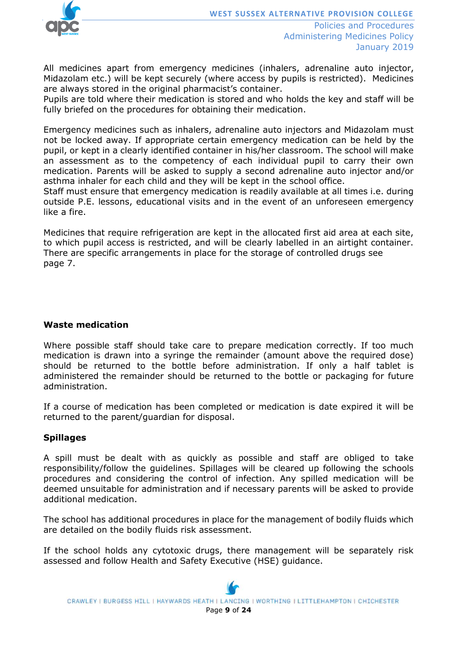

January 2019

All medicines apart from emergency medicines (inhalers, adrenaline auto injector, Midazolam etc.) will be kept securely (where access by pupils is restricted). Medicines are always stored in the original pharmacist's container.

Pupils are told where their medication is stored and who holds the key and staff will be fully briefed on the procedures for obtaining their medication.

Emergency medicines such as inhalers, adrenaline auto injectors and Midazolam must not be locked away. If appropriate certain emergency medication can be held by the pupil, or kept in a clearly identified container in his/her classroom. The school will make an assessment as to the competency of each individual pupil to carry their own medication. Parents will be asked to supply a second adrenaline auto injector and/or asthma inhaler for each child and they will be kept in the school office.

Staff must ensure that emergency medication is readily available at all times i.e. during outside P.E. lessons, educational visits and in the event of an unforeseen emergency like a fire.

Medicines that require refrigeration are kept in the allocated first aid area at each site, to which pupil access is restricted, and will be clearly labelled in an airtight container. There are specific arrangements in place for the storage of controlled drugs see page 7.

#### **Waste medication**

Where possible staff should take care to prepare medication correctly. If too much medication is drawn into a syringe the remainder (amount above the required dose) should be returned to the bottle before administration. If only a half tablet is administered the remainder should be returned to the bottle or packaging for future administration.

If a course of medication has been completed or medication is date expired it will be returned to the parent/guardian for disposal.

#### **Spillages**

A spill must be dealt with as quickly as possible and staff are obliged to take responsibility/follow the guidelines. Spillages will be cleared up following the schools procedures and considering the control of infection. Any spilled medication will be deemed unsuitable for administration and if necessary parents will be asked to provide additional medication.

The school has additional procedures in place for the management of bodily fluids which are detailed on the bodily fluids risk assessment.

If the school holds any cytotoxic drugs, there management will be separately risk assessed and follow Health and Safety Executive (HSE) guidance.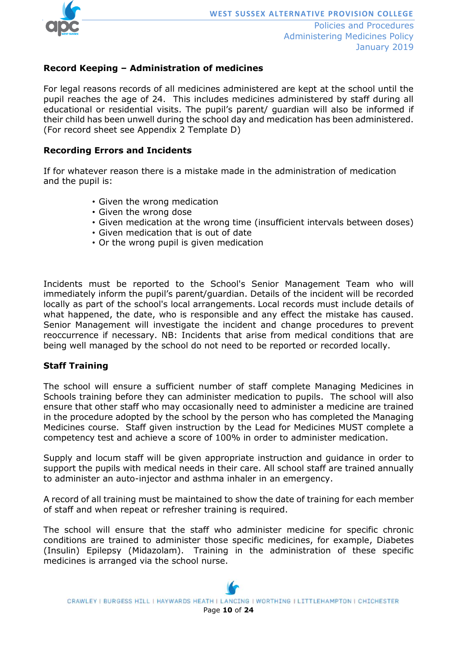

#### **Record Keeping – Administration of medicines**

For legal reasons records of all medicines administered are kept at the school until the pupil reaches the age of 24. This includes medicines administered by staff during all educational or residential visits. The pupil's parent/ guardian will also be informed if their child has been unwell during the school day and medication has been administered. (For record sheet see Appendix 2 Template D)

#### **Recording Errors and Incidents**

If for whatever reason there is a mistake made in the administration of medication and the pupil is:

- Given the wrong medication
- Given the wrong dose
- Given medication at the wrong time (insufficient intervals between doses)
- Given medication that is out of date
- Or the wrong pupil is given medication

Incidents must be reported to the School's Senior Management Team who will immediately inform the pupil's parent/guardian. Details of the incident will be recorded locally as part of the school's local arrangements. Local records must include details of what happened, the date, who is responsible and any effect the mistake has caused. Senior Management will investigate the incident and change procedures to prevent reoccurrence if necessary. NB: Incidents that arise from medical conditions that are being well managed by the school do not need to be reported or recorded locally.

#### **Staff Training**

The school will ensure a sufficient number of staff complete Managing Medicines in Schools training before they can administer medication to pupils. The school will also ensure that other staff who may occasionally need to administer a medicine are trained in the procedure adopted by the school by the person who has completed the Managing Medicines course. Staff given instruction by the Lead for Medicines MUST complete a competency test and achieve a score of 100% in order to administer medication.

Supply and locum staff will be given appropriate instruction and guidance in order to support the pupils with medical needs in their care. All school staff are trained annually to administer an auto-injector and asthma inhaler in an emergency.

A record of all training must be maintained to show the date of training for each member of staff and when repeat or refresher training is required.

The school will ensure that the staff who administer medicine for specific chronic conditions are trained to administer those specific medicines, for example, Diabetes (Insulin) Epilepsy (Midazolam). Training in the administration of these specific medicines is arranged via the school nurse.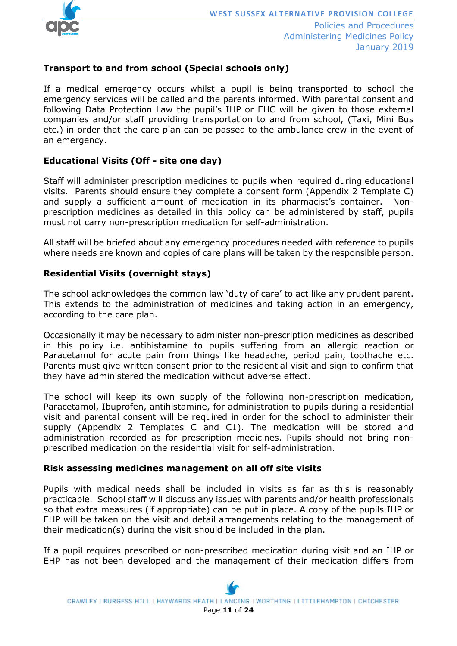

#### **Transport to and from school (Special schools only)**

If a medical emergency occurs whilst a pupil is being transported to school the emergency services will be called and the parents informed. With parental consent and following Data Protection Law the pupil's IHP or EHC will be given to those external companies and/or staff providing transportation to and from school, (Taxi, Mini Bus etc.) in order that the care plan can be passed to the ambulance crew in the event of an emergency.

#### **Educational Visits (Off - site one day)**

Staff will administer prescription medicines to pupils when required during educational visits. Parents should ensure they complete a consent form (Appendix 2 Template C) and supply a sufficient amount of medication in its pharmacist's container. Nonprescription medicines as detailed in this policy can be administered by staff, pupils must not carry non-prescription medication for self-administration.

All staff will be briefed about any emergency procedures needed with reference to pupils where needs are known and copies of care plans will be taken by the responsible person.

#### **Residential Visits (overnight stays)**

The school acknowledges the common law 'duty of care' to act like any prudent parent. This extends to the administration of medicines and taking action in an emergency, according to the care plan.

Occasionally it may be necessary to administer non-prescription medicines as described in this policy i.e. antihistamine to pupils suffering from an allergic reaction or Paracetamol for acute pain from things like headache, period pain, toothache etc. Parents must give written consent prior to the residential visit and sign to confirm that they have administered the medication without adverse effect.

The school will keep its own supply of the following non-prescription medication, Paracetamol, Ibuprofen, antihistamine, for administration to pupils during a residential visit and parental consent will be required in order for the school to administer their supply (Appendix 2 Templates C and C1). The medication will be stored and administration recorded as for prescription medicines. Pupils should not bring nonprescribed medication on the residential visit for self-administration.

#### **Risk assessing medicines management on all off site visits**

Pupils with medical needs shall be included in visits as far as this is reasonably practicable. School staff will discuss any issues with parents and/or health professionals so that extra measures (if appropriate) can be put in place. A copy of the pupils IHP or EHP will be taken on the visit and detail arrangements relating to the management of their medication(s) during the visit should be included in the plan.

If a pupil requires prescribed or non-prescribed medication during visit and an IHP or EHP has not been developed and the management of their medication differs from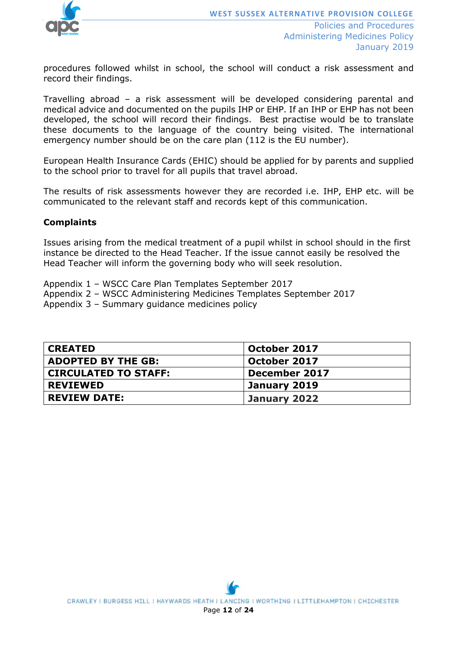

procedures followed whilst in school, the school will conduct a risk assessment and record their findings.

Travelling abroad – a risk assessment will be developed considering parental and medical advice and documented on the pupils IHP or EHP. If an IHP or EHP has not been developed, the school will record their findings. Best practise would be to translate these documents to the language of the country being visited. The international emergency number should be on the care plan (112 is the EU number).

European Health Insurance Cards (EHIC) should be applied for by parents and supplied to the school prior to travel for all pupils that travel abroad.

The results of risk assessments however they are recorded i.e. IHP, EHP etc. will be communicated to the relevant staff and records kept of this communication.

#### **Complaints**

Issues arising from the medical treatment of a pupil whilst in school should in the first instance be directed to the Head Teacher. If the issue cannot easily be resolved the Head Teacher will inform the governing body who will seek resolution.

Appendix 1 – WSCC Care Plan Templates September 2017

Appendix 2 – WSCC Administering Medicines Templates September 2017

Appendix 3 – Summary guidance medicines policy

| <b>CREATED</b>              | October 2017  |
|-----------------------------|---------------|
| <b>ADOPTED BY THE GB:</b>   | October 2017  |
| <b>CIRCULATED TO STAFF:</b> | December 2017 |
| <b>REVIEWED</b>             | January 2019  |
| <b>REVIEW DATE:</b>         | January 2022  |

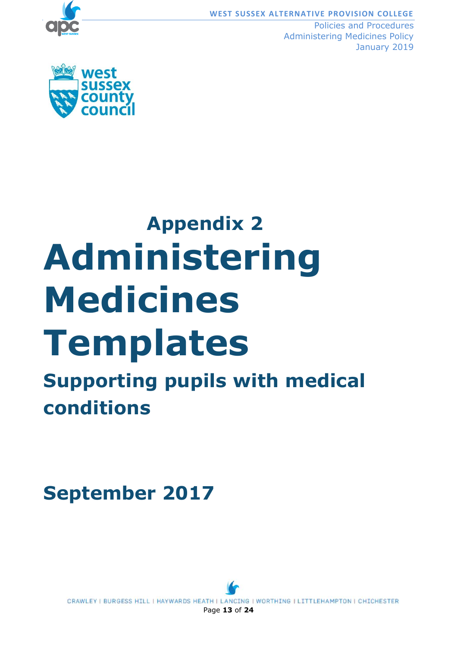

**WEST SUSSEX ALTERNATIVE PROVISION COLLEGE**

Policies and Procedures Administering Medicines Policy January 2019



# **Appendix 2 Administering Medicines Templates Supporting pupils with medical conditions**

## **September 2017**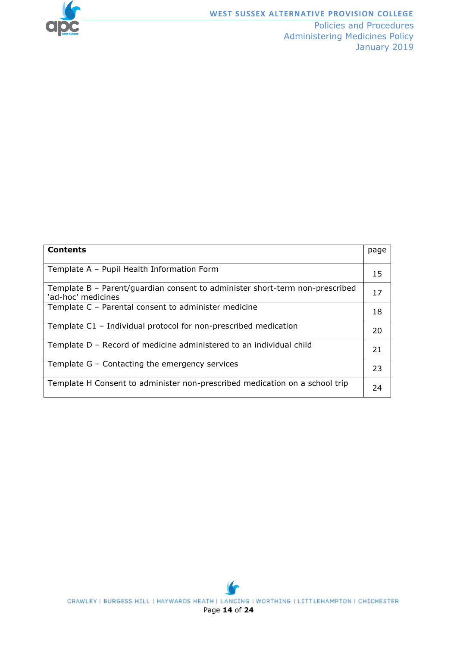

| <b>Contents</b>                                                                                    | page |
|----------------------------------------------------------------------------------------------------|------|
| Template A - Pupil Health Information Form                                                         | 15   |
| Template B - Parent/guardian consent to administer short-term non-prescribed<br>'ad-hoc' medicines | 17   |
| Template C - Parental consent to administer medicine                                               | 18   |
| Template C1 - Individual protocol for non-prescribed medication                                    | 20   |
| Template D - Record of medicine administered to an individual child                                | 21   |
| Template G - Contacting the emergency services                                                     | 23   |
| Template H Consent to administer non-prescribed medication on a school trip                        | 24   |

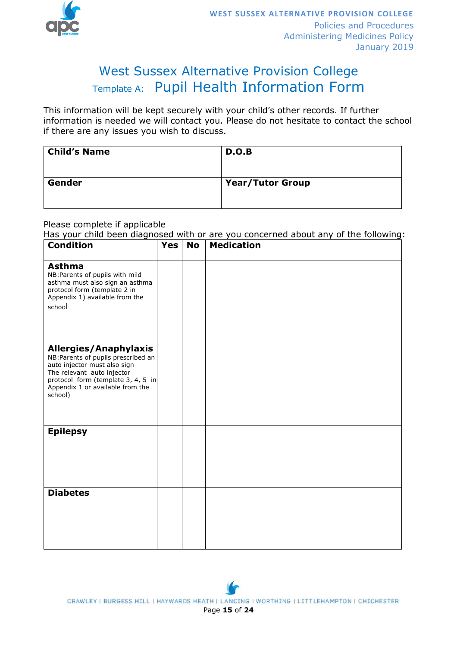

## West Sussex Alternative Provision College Template A: Pupil Health Information Form

This information will be kept securely with your child's other records. If further information is needed we will contact you. Please do not hesitate to contact the school if there are any issues you wish to discuss.

| <b>Child's Name</b> | D.O.B            |
|---------------------|------------------|
| Gender              | Year/Tutor Group |

Please complete if applicable

Has your child been diagnosed with or are you concerned about any of the following:

| <b>Condition</b>                                                                                                                                                                                                       | <b>Yes</b> | <b>No</b> | <b>Medication</b> |
|------------------------------------------------------------------------------------------------------------------------------------------------------------------------------------------------------------------------|------------|-----------|-------------------|
| <b>Asthma</b><br>NB: Parents of pupils with mild<br>asthma must also sign an asthma<br>protocol form (template 2 in<br>Appendix 1) available from the<br>school                                                        |            |           |                   |
| <b>Allergies/Anaphylaxis</b><br>NB: Parents of pupils prescribed an<br>auto injector must also sign<br>The relevant auto injector<br>protocol form (template 3, 4, 5 in<br>Appendix 1 or available from the<br>school) |            |           |                   |
| <b>Epilepsy</b>                                                                                                                                                                                                        |            |           |                   |
| <b>Diabetes</b>                                                                                                                                                                                                        |            |           |                   |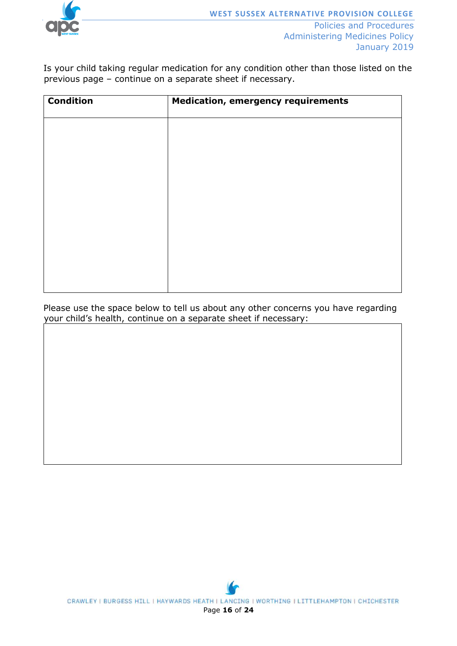

Is your child taking regular medication for any condition other than those listed on the previous page – continue on a separate sheet if necessary.

| <b>Condition</b> | <b>Medication, emergency requirements</b> |
|------------------|-------------------------------------------|
|                  |                                           |
|                  |                                           |
|                  |                                           |
|                  |                                           |
|                  |                                           |
|                  |                                           |
|                  |                                           |
|                  |                                           |

Please use the space below to tell us about any other concerns you have regarding your child's health, continue on a separate sheet if necessary:

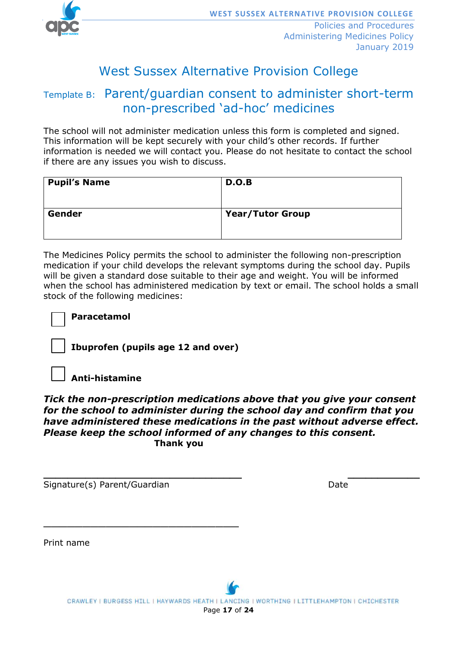

## West Sussex Alternative Provision College

## Template B: Parent/guardian consent to administer short-term non-prescribed 'ad-hoc' medicines

The school will not administer medication unless this form is completed and signed. This information will be kept securely with your child's other records. If further information is needed we will contact you. Please do not hesitate to contact the school if there are any issues you wish to discuss.

| <b>Pupil's Name</b> | D.O.B                   |
|---------------------|-------------------------|
| Gender              | <b>Year/Tutor Group</b> |

The Medicines Policy permits the school to administer the following non-prescription medication if your child develops the relevant symptoms during the school day. Pupils will be given a standard dose suitable to their age and weight. You will be informed when the school has administered medication by text or email. The school holds a small stock of the following medicines:

**Paracetamol** 

**Ibuprofen (pupils age 12 and over)**

**Anti-histamine**

*Tick the non-prescription medications above that you give your consent for the school to administer during the school day and confirm that you have administered these medications in the past without adverse effect. Please keep the school informed of any changes to this consent.* **Thank you** 

**\_\_\_\_\_\_\_\_\_\_\_\_\_\_\_\_\_\_\_\_\_\_\_\_\_\_\_\_\_\_\_\_\_ \_\_\_\_\_\_\_\_\_\_\_\_**

Signature(s) Parent/Guardian Date Date

\_\_\_\_\_\_\_\_\_\_\_\_\_\_\_\_\_\_\_\_\_\_\_\_\_

Print name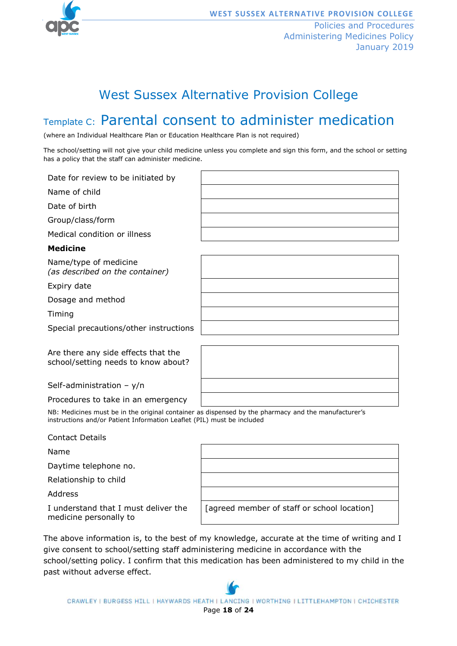

## West Sussex Alternative Provision College

## Template C: Parental consent to administer medication

(where an Individual Healthcare Plan or Education Healthcare Plan is not required)

The school/setting will not give your child medicine unless you complete and sign this form, and the school or setting has a policy that the staff can administer medicine.

| Date for review to be initiated by                                         |  |
|----------------------------------------------------------------------------|--|
| Name of child                                                              |  |
| Date of birth                                                              |  |
| Group/class/form                                                           |  |
| Medical condition or illness                                               |  |
| <b>Medicine</b>                                                            |  |
| Name/type of medicine<br>(as described on the container)                   |  |
| Expiry date                                                                |  |
| Dosage and method                                                          |  |
| Timing                                                                     |  |
| Special precautions/other instructions                                     |  |
|                                                                            |  |
| Are there any side effects that the<br>school/setting needs to know about? |  |
| Self-administration - $y/n$                                                |  |
| Procedures to take in an emergency                                         |  |

NB: Medicines must be in the original container as dispensed by the pharmacy and the manufacturer's instructions and/or Patient Information Leaflet (PIL) must be included

Name

Daytime telephone no.

Relationship to child

Address

I understand that I must deliver the medicine personally to

| [agreed member of staff or school location] |
|---------------------------------------------|

The above information is, to the best of my knowledge, accurate at the time of writing and I give consent to school/setting staff administering medicine in accordance with the school/setting policy. I confirm that this medication has been administered to my child in the past without adverse effect.

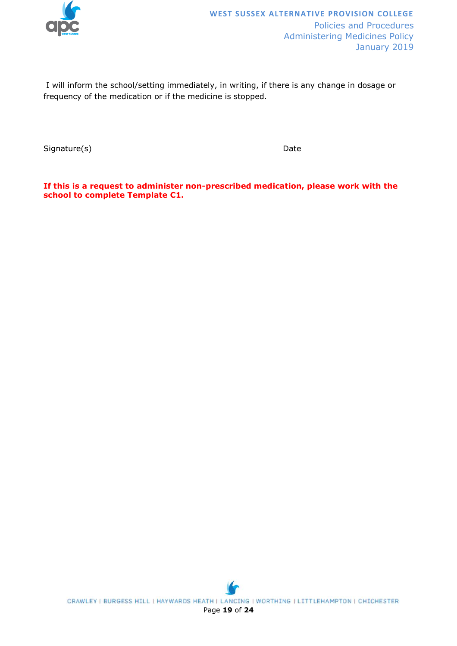

I will inform the school/setting immediately, in writing, if there is any change in dosage or frequency of the medication or if the medicine is stopped.

Signature(s) Date

**If this is a request to administer non-prescribed medication, please work with the school to complete Template C1.**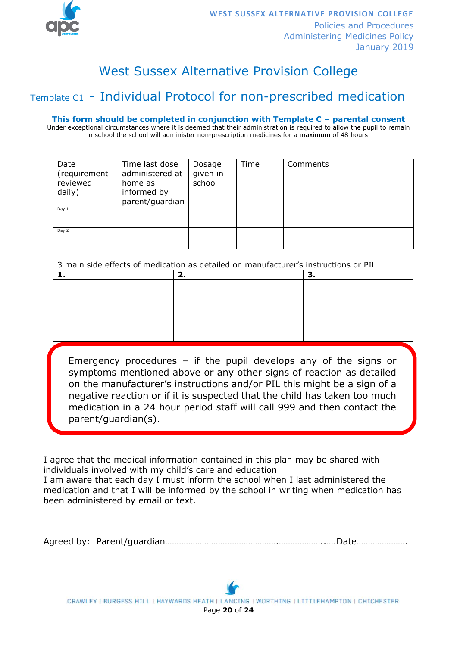

## West Sussex Alternative Provision College

## Template C1 - Individual Protocol for non-prescribed medication

**This form should be completed in conjunction with Template C – parental consent**

Under exceptional circumstances where it is deemed that their administration is required to allow the pupil to remain in school the school will administer non-prescription medicines for a maximum of 48 hours.

| Date<br>(requirement<br>reviewed<br>daily) | Time last dose<br>administered at<br>home as<br>informed by<br>parent/guardian | Dosage<br>given in<br>school | Time | Comments |
|--------------------------------------------|--------------------------------------------------------------------------------|------------------------------|------|----------|
| Day 1                                      |                                                                                |                              |      |          |
| Day 2                                      |                                                                                |                              |      |          |

| 3 main side effects of medication as detailed on manufacturer's instructions or PIL |    |  |  |  |
|-------------------------------------------------------------------------------------|----|--|--|--|
|                                                                                     | z. |  |  |  |
|                                                                                     |    |  |  |  |
|                                                                                     |    |  |  |  |
|                                                                                     |    |  |  |  |
|                                                                                     |    |  |  |  |
|                                                                                     |    |  |  |  |
|                                                                                     |    |  |  |  |

 parent/guardian(s).Emergency procedures – if the pupil develops any of the signs or symptoms mentioned above or any other signs of reaction as detailed on the manufacturer's instructions and/or PIL this might be a sign of a negative reaction or if it is suspected that the child has taken too much medication in a 24 hour period staff will call 999 and then contact the

I agree that the medical information contained in this plan may be shared with individuals involved with my child's care and education I am aware that each day I must inform the school when I last administered the medication and that I will be informed by the school in writing when medication has been administered by email or text.

Agreed by: Parent/guardian………………………………………….………………..….Date………………….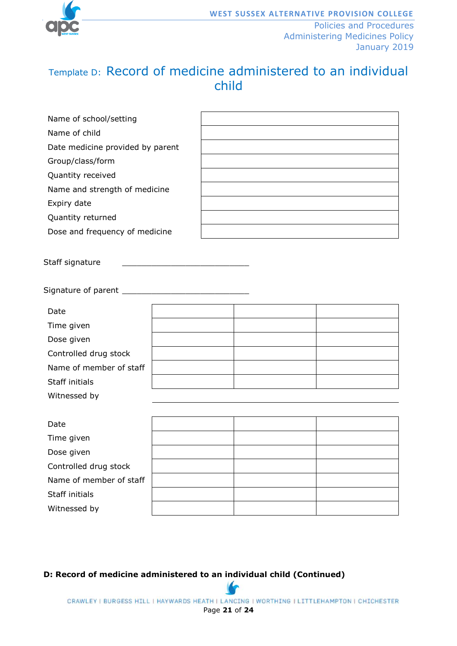

## Template D: Record of medicine administered to an individual child

| Name of school/setting           |  |
|----------------------------------|--|
| Name of child                    |  |
| Date medicine provided by parent |  |
| Group/class/form                 |  |
| Quantity received                |  |
| Name and strength of medicine    |  |
| Expiry date                      |  |
| Quantity returned                |  |
| Dose and frequency of medicine   |  |
|                                  |  |

Staff signature

Signature of parent \_\_\_\_\_\_\_\_\_\_\_\_\_\_\_\_\_\_\_\_\_\_\_\_\_\_

| Date                    |  |  |
|-------------------------|--|--|
| Time given              |  |  |
| Dose given              |  |  |
| Controlled drug stock   |  |  |
| Name of member of staff |  |  |
| Staff initials          |  |  |
| Witnessed by            |  |  |

| Date                    |  |  |
|-------------------------|--|--|
| Time given              |  |  |
| Dose given              |  |  |
| Controlled drug stock   |  |  |
| Name of member of staff |  |  |
| Staff initials          |  |  |
| Witnessed by            |  |  |
|                         |  |  |

**D: Record of medicine administered to an individual child (Continued)**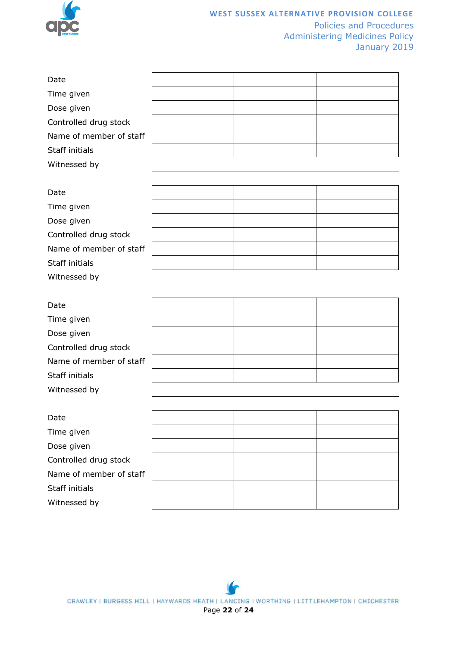

Witnessed by

Policies and Procedures Administering Medicines Policy January 2019

| Date                    |  |  |
|-------------------------|--|--|
| Time given              |  |  |
| Dose given              |  |  |
| Controlled drug stock   |  |  |
| Name of member of staff |  |  |
| Staff initials          |  |  |
| Witnessed by            |  |  |
|                         |  |  |
|                         |  |  |
| Date                    |  |  |
| Time given              |  |  |
| Dose given              |  |  |
| Controlled drug stock   |  |  |
| Name of member of staff |  |  |

| Date                    |  |  |
|-------------------------|--|--|
| Time given              |  |  |
| Dose given              |  |  |
| Controlled drug stock   |  |  |
| Name of member of staff |  |  |
| Staff initials          |  |  |
| Witnessed by            |  |  |

| Date                    |  |  |
|-------------------------|--|--|
| Time given              |  |  |
| Dose given              |  |  |
| Controlled drug stock   |  |  |
| Name of member of staff |  |  |
| Staff initials          |  |  |
| Witnessed by            |  |  |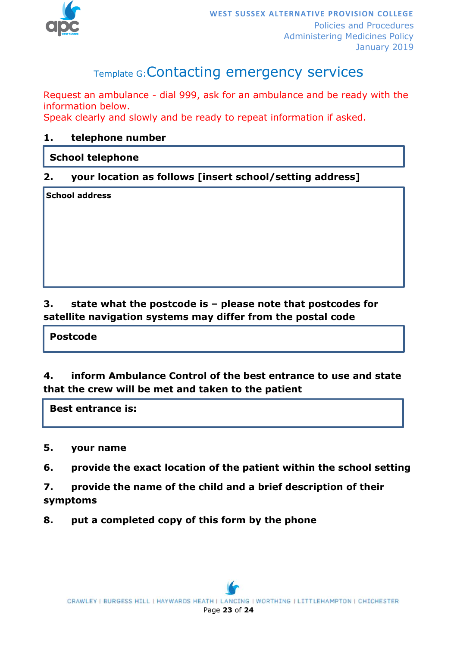

## Template G:Contacting emergency services

Request an ambulance - dial 999, ask for an ambulance and be ready with the information below.

Speak clearly and slowly and be ready to repeat information if asked.

#### **1. telephone number**

#### **School telephone**

#### **2. your location as follows [insert school/setting address]**

**School address**

#### **3. state what the postcode is – please note that postcodes for satellite navigation systems may differ from the postal code**

#### **Postcode**

#### **4. inform Ambulance Control of the best entrance to use and state that the crew will be met and taken to the patient**

 **Best entrance is:**

#### **5. your name**

- **6. provide the exact location of the patient within the school setting**
- **7. provide the name of the child and a brief description of their symptoms**
- **8. put a completed copy of this form by the phone**